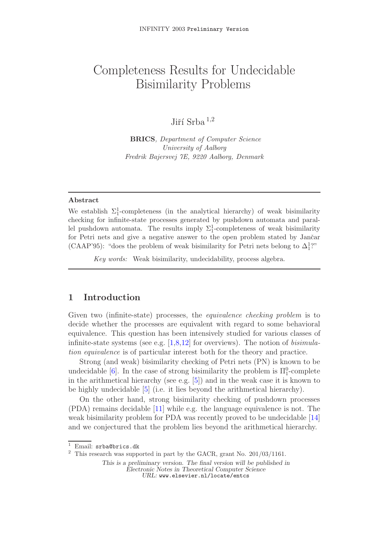# Completeness Results for Undecidable Bisimilarity Problems

Infinity 2003 Preliminary Version 2003 Preliminary Version 2003 Preliminary Version 2003 Preliminary Version 20

# Jiří Srba  $^{1,2}$

**BRICS**, Department of Computer Science University of Aalborg Fredrik Bajersvej 7E, 9220 Aalborg, Denmark

### **Abstract**

We establish  $\Sigma_1^1$ -completeness (in the analytical hierarchy) of weak bisimilarity checking for infinite-state processes generated by pushdown automata and parallel pushdown automata. The results imply  $\Sigma_1^1$ -completeness of weak bisimilarity for Petri nets and give a negative answer to the open problem stated by Jančar (CAAP'95): "does the problem of weak bisimilarity for Petri nets belong to  $\Delta_1^1$ ?"

Key words: Weak bisimilarity, undecidability, process algebra.

### **1 Introduction**

Given two (infinite-state) processes, the *equivalence checking problem* is to decide whether the processes are equivalent with regard to some behavioral equivalence. This question has been intensively studied for various classes of infinite-state systems (see e.g.  $[1,8,12]$  for overviews). The notion of *bisimula*tion equivalence is of particular interest both for the theory and practice.

Strong (and weak) bisimilarity checking of Petri nets (PN) is known to be undecidable [6]. In the case of [st](#page-12-0)[ro](#page-12-1)[ng](#page-12-2) bisimilarity the problem is  $\Pi_1^0$ -complete in the arithmetical hierarchy (see e.g.  $[5]$ ) and in the weak case it is known to be highly undecidable [5] (i.e. it lies beyond the arithmetical hierarchy).

On the o[th](#page-12-3)er hand, strong bisimilarity checking of pushdown processes (PDA) remains decidable [11] while e.[g.](#page-12-4) the language equivalence is not. The weak bisimilarity probl[em](#page-12-4) for PDA was recently proved to be undecidable [14] and we conjectured that the problem lies beyond the arithmetical hierarchy.

<sup>&</sup>lt;sup>1</sup> Email: srba@brics.dk

 $^2\,$  This research was supported in part by the GACR, grant No. 201/03/1161.

*This is a preliminary version. The final version will be published in Electronic Notes in Theoretical Computer Science URL:* www.elsevier.nl/locate/entcs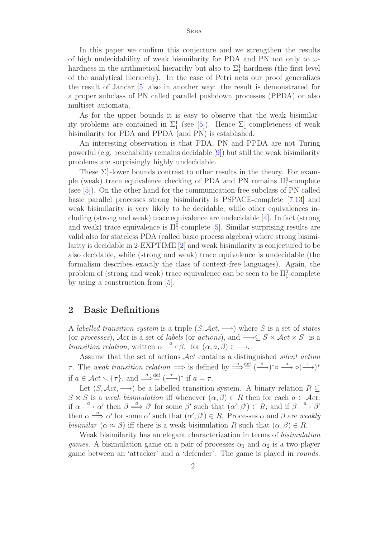In this paper we confirm this conjecture and we strengthen the results of high undecidability of weak bisimilarity for PDA and PN not only to  $\omega$ hardness in the arithmetical hierarchy but also to  $\Sigma_1^1$ -hardness (the first level of the analytical hierarchy). In the case of Petri nets our proof generalizes the result of Jančar  $\left[5\right]$  also in another way: the result is demonstrated for a proper subclass of PN called parallel pushdown processes (PPDA) or also multiset automata.

As for the upper [b](#page-12-4)ounds it is easy to observe that the weak bisimilarity problems are contained in  $\Sigma_1^1$  (see [5]). Hence  $\Sigma_1^1$ -completeness of weak bisimilarity for PDA and PPDA (and PN) is established.

An interesting observation is that PDA, PN and PPDA are not Turing powerful (e.g. reachability remains deci[dab](#page-12-4)le [9]) but still the weak bisimilarity problems are surprisingly highly undecidable.

These  $\Sigma_1^1$ -lower bounds contrast to other results in the theory. For exam-ple (weak) trace equivalence checking of PD[A](#page-12-5) and PN remains  $\Pi_1^0$ -complete (see [5]). On the other hand for the communication-free subclass of PN called basic parallel processes strong bisimilarity is PSPACE-complete [7,13] and weak bisimilarity is very likely to be decidable, while other equivalences includi[ng](#page-12-4) (strong and weak) trace equivalence are undecidable [4]. In fact (strong and weak) trace equivalence is  $\Pi_1^0$ -complete [5]. Similar surprising [re](#page-12-6)[sult](#page-12-7)s are valid also for stateless PDA (called basic process algebra) where strong bisimilarity is decidable in 2-EXPTIME [2] and weak bisimilarity is [co](#page-12-8)njectured to be also decidable, while (strong and weak) trac[e e](#page-12-4)quivalence is undecidable (the formalism describes exactly the class of context-free languages). Again, the problem of (strong and weak) trac[e e](#page-12-9)quivalence can be seen to be  $\Pi_1^0$ -complete by using a construction from  $|5|$ .

### **2 Basic Definitions**

A labelled transition system is a triple  $(S, \mathcal{A}ct, \longrightarrow)$  where S is a set of states (or processes), Act is a set of labels (or actions), and  $\rightarrow \subseteq S \times \mathcal{A}ct \times S$  is a transition relation, written  $\alpha \stackrel{a}{\longrightarrow} \beta$ , for  $(\alpha, a, \beta) \in \longrightarrow$ .

Assume that the set of actions Act contains a distinguished silent action  $\tau$ . The weak transition relation  $\implies$  is defined by  $\stackrel{a}{\Longrightarrow} \stackrel{\text{def}}{=} (\stackrel{\tau}{\longrightarrow})^* \circ \stackrel{a}{\longrightarrow} \circ (\stackrel{\tau}{\longrightarrow})^*$ if  $a \in \mathcal{A}ct \setminus {\tau}$ , and  $\stackrel{a}{\Longrightarrow} \stackrel{\text{def}}{=} (\stackrel{\tau}{\longrightarrow})^*$  if  $a = \tau$ .

Let  $(S, \mathcal{A}ct, \longrightarrow)$  be a labelled transition system. A binary relation  $R \subseteq$  $S \times S$  is a weak bisimulation iff whenever  $(\alpha, \beta) \in R$  then for each  $a \in \mathcal{A}ct$ : if  $\alpha \stackrel{a}{\longrightarrow} \alpha'$  then  $\beta \stackrel{a}{\Longrightarrow} \beta'$  for some  $\beta'$  such that  $(\alpha', \beta') \in R$ ; and if  $\beta \stackrel{a}{\longrightarrow} \beta'$ then  $\alpha \stackrel{a}{\Longrightarrow} \alpha'$  for some  $\alpha'$  such that  $(\alpha', \beta') \in R$ . Processes  $\alpha$  and  $\beta$  are *weakly* bisimilar  $(\alpha \approx \beta)$  iff there is a weak bisimulation R such that  $(\alpha, \beta) \in R$ .

Weak bisimilarity has an elegant characterization in terms of *bisimulation* games. A bisimulation game on a pair of processes  $\alpha_1$  and  $\alpha_2$  is a two-player game between an 'attacker' and a 'defender'. The game is played in rounds.

2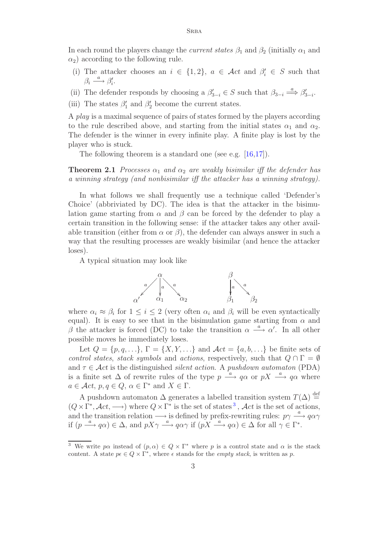In each round the players change the *current states*  $\beta_1$  and  $\beta_2$  (initially  $\alpha_1$  and  $\alpha_2$ ) according to the following rule.

- (i) The attacker chooses an  $i \in \{1,2\}$ ,  $a \in \mathcal{A}ct$  and  $\beta_i' \in S$  such that  $\beta_i \stackrel{a}{\longrightarrow} \beta'_i.$
- (ii) The defender responds by choosing a  $\beta'_{3-i} \in S$  such that  $\beta_{3-i} \stackrel{a}{\Longrightarrow} \beta'_{3-i}$ .
- (iii) The states  $\beta'_1$  and  $\beta'_2$  become the current states.

A play is a maximal sequence of pairs of states formed by the players according to the rule described above, and starting from the initial states  $\alpha_1$  and  $\alpha_2$ . The defender is the winner in every infinite play. A finite play is lost by the player who is stuck.

The following theorem is a standard one (see e.g. [16,17]).

**Theorem 2.1** Processes  $\alpha_1$  and  $\alpha_2$  are weakly bisimilar iff the defender has a winning strategy (and nonbisimilar iff the attacker [has](#page-13-0) [a](#page-13-1) [w](#page-13-1)inning strategy).

In what follows we shall frequently use a technique called 'Defender's Choice' (abbriviated by DC). The idea is that the attacker in the bisimulation game starting from  $\alpha$  and  $\beta$  can be forced by the defender to play a certain transition in the following sense: if the attacker takes any other available transition (either from  $\alpha$  or  $\beta$ ), the defender can always answer in such a way that the resulting processes are weakly bisimilar (and hence the attacker loses).

A typical situation may look like



where  $\alpha_i \approx \beta_i$  for  $1 \leq i \leq 2$  (very often  $\alpha_i$  and  $\beta_i$  will be even syntactically equal). It is easy to see that in the bisimulation game starting from  $\alpha$  and β the attacker is forced (DC) to take the transition  $\alpha \stackrel{a}{\longrightarrow} \alpha'$ . In all other possible moves he immediately loses.

Let  $Q = \{p, q, \ldots\}, \Gamma = \{X, Y, \ldots\}$  and  $\mathcal{A}ct = \{a, b, \ldots\}$  be finite sets of control states, stack symbols and actions, respectively, such that  $Q \cap \Gamma = \emptyset$ and  $\tau \in \mathcal{A}ct$  is the distinguished *silent action*. A *pushdown automaton* (PDA) is a finite set  $\Delta$  of rewrite rules of the type  $p \stackrel{a}{\longrightarrow} q\alpha$  or  $pX \stackrel{a}{\longrightarrow} q\alpha$  where  $a \in \mathcal{A}ct$ ,  $p, q \in Q$ ,  $\alpha \in \Gamma^*$  and  $X \in \Gamma$ .

A pushdown automaton  $\Delta$  generates a labelled transition system  $T(\Delta) \stackrel{\text{def}}{=}$  $(Q \times \Gamma^*, \mathcal{A}ct, \longrightarrow)$  where  $Q \times \Gamma^*$  is the set of states<sup>3</sup>,  $\mathcal{A}ct$  is the set of actions, and the transition relation  $\longrightarrow$  is defined by prefix-rewriting rules:  $p\gamma \stackrel{a}{\longrightarrow} q\alpha\gamma$ if  $(p \stackrel{a}{\longrightarrow} q\alpha) \in \Delta$ , and  $pX\gamma \stackrel{a}{\longrightarrow} q\alpha\gamma$  if  $(pX \stackrel{a}{\longrightarrow} q\alpha) \in \Delta$  for all  $\gamma \in \Gamma^*$ .

<sup>&</sup>lt;sup>3</sup> We write p $\alpha$  instead of  $(p, \alpha) \in Q \times \Gamma^*$  where p is a control state and  $\alpha$  is the stack content. A state  $p \in Q \times \Gamma^*$ , where  $\epsilon$  stands for the *empty stack*, is written as p.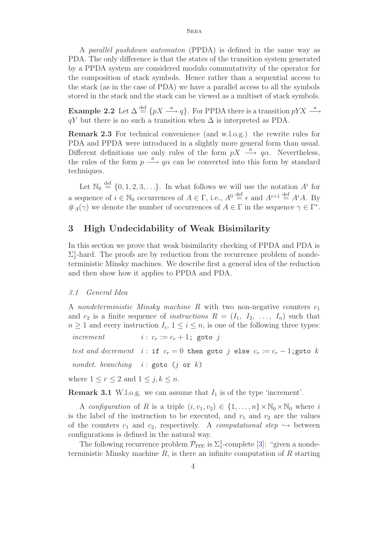A parallel pushdown automaton (PPDA) is defined in the same way as PDA. The only difference is that the states of the transition system generated by a PPDA system are considered modulo commutativity of the operator for the composition of stack symbols. Hence rather than a sequential access to the stack (as in the case of PDA) we have a parallel access to all the symbols stored in the stack and the stack can be viewed as a multiset of stack symbols.

**Example 2.2** Let  $\Delta \stackrel{\text{def}}{=} \{pX \stackrel{a}{\longrightarrow} q\}$ . For PPDA there is a transition  $pYX \stackrel{a}{\longrightarrow}$  $qY$  but there is no such a transition when  $\Delta$  is interpreted as PDA.

**Remark 2.3** For technical convenience (and w.l.o.g.) the rewrite rules for PDA and PPDA were introduced in a slightly more general form than usual. Different definitions use only rules of the form  $pX \stackrel{a}{\longrightarrow} q\alpha$ . Nevertheless, the rules of the form  $p \stackrel{a}{\longrightarrow} q\alpha$  can be converted into this form by standard techniques.

Let  $\mathbb{N}_0 \stackrel{\text{def}}{=} \{0, 1, 2, 3, \ldots\}$ . In what follows we will use the notation  $A^i$  for a sequence of  $i \in \mathbb{N}_0$  occurrences of  $A \in \Gamma$ , i.e.,  $A^0 \stackrel{\text{def}}{=} \epsilon$  and  $A^{i+1} \stackrel{\text{def}}{=} A^i A$ . By  $\#_A(\gamma)$  we denote the number of occurrences of  $A \in \Gamma$  in the sequence  $\gamma \in \Gamma^*$ .

### **3 High Undecidability of Weak Bisimilarity**

In this section we prove that weak bisimilarity checking of PPDA and PDA is  $\Sigma_1^1$ -hard. The proofs are by reduction from the recurrence problem of nondeterministic Minsky machines. We describe first a general idea of the reduction and then show how it applies to PPDA and PDA.

#### 3.1 General Idea

A nondeterministic Minsky machine R with two non-negative counters  $c_1$ and  $c_2$  is a finite sequence of *instructions*  $R = (I_1, I_2, \ldots, I_n)$  such that  $n \geq 1$  and every instruction  $I_i$ ,  $1 \leq i \leq n$ , is one of the following three types:

increment  $i : c_r := c_r + 1$ ; goto j

test and decrement i: if  $c_r = 0$  then goto j else  $c_r := c_r - 1$ ; goto k

nondet. branching  $i : \text{goto} (j \text{ or } k)$ 

where  $1 \leq r \leq 2$  and  $1 \leq j, k \leq n$ .

**Remark 3.1** W.l.o.g. we can assume that  $I_1$  is of the type 'increment'.

<span id="page-3-0"></span>A configuration of R is a triple  $(i, v_1, v_2) \in \{1, \ldots, n\} \times \mathbb{N}_0 \times \mathbb{N}_0$  where i is the label of the instruction to be executed, and  $v_1$  and  $v_2$  are the values of the counters  $c_1$  and  $c_2$ , respectively. A *computational step*  $\hookrightarrow$  between configurations is defined in the natural way.

The following recurrence problem  $\mathcal{P}_{rec}$  is  $\Sigma_1^1$ -complete [3]: "given a nondeterministic Minsky machine  $R$ , is there an infinite computation of  $R$  starting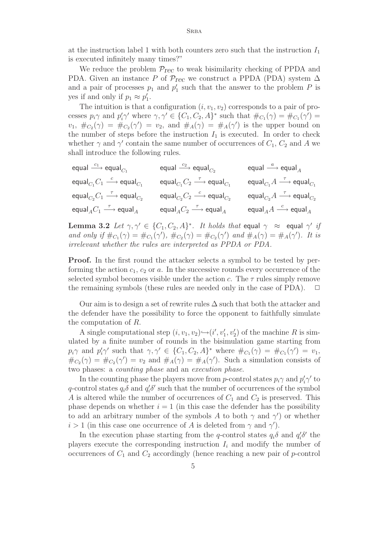at the instruction label 1 with both counters zero such that the instruction  $I_1$ is executed infinitely many times?"

We reduce the problem  $\mathcal{P}_{\text{rec}}$  to weak bisimilarity checking of PPDA and PDA. Given an instance P of  $\mathcal{P}_{\text{rec}}$  we construct a PPDA (PDA) system  $\Delta$ and a pair of processes  $p_1$  and  $p'_1$  such that the answer to the problem P is yes if and only if  $p_1 \approx p'_1$ .

The intuition is that a configuration  $(i, v_1, v_2)$  corresponds to a pair of processes  $p_i \gamma$  and  $p'_i \gamma'$  where  $\gamma, \gamma' \in \{C_1, C_2, A\}^*$  such that  $\#_{C_1}(\gamma) = \#_{C_1}(\gamma') =$  $v_1, \#_{C_2}(\gamma) = \#_{C_2}(\gamma') = v_2$ , and  $\#_A(\gamma) = \#_A(\gamma')$  is the upper bound on the number of steps before the instruction  $I_1$  is executed. In order to check whether  $\gamma$  and  $\gamma'$  contain the same number of occurrences of  $C_1$ ,  $C_2$  and A we shall introduce the following rules.

| equal $\xrightarrow{c_1}$ equal <sub><math>C_1</math></sub>           | equal $\xrightarrow{c_2}$ equal <sub><math>C_2</math></sub>                  | equal $\stackrel{a}{\longrightarrow}$ equal <sub>A</sub>                                   |
|-----------------------------------------------------------------------|------------------------------------------------------------------------------|--------------------------------------------------------------------------------------------|
| equal ${}_{C_1}C_1 \stackrel{c}{\longrightarrow}$ equal ${}_{C_1}$    | equal ${}_{C_1}C_2 \stackrel{\tau}{\longrightarrow}$ equal ${}_{C_1}$        | equal <sub><math>C_1</math></sub> $A \xrightarrow{\tau}$ equal <sub><math>C_1</math></sub> |
| equal ${}_{C_2}C_1 \stackrel{\tau}{\longrightarrow}$ equal ${}_{C_2}$ | equal ${}_{C_2}C_2 \stackrel{c}{\longrightarrow}$ equal ${}_{C_2}$           | equal $_{C_2}A \stackrel{\tau}{\longrightarrow}$ equal $_{C_2}$                            |
| equal ${}_{A}C_1 \stackrel{\tau}{\longrightarrow}$ equal ${}_{A}$     | equal <sub>A</sub> $C_2 \stackrel{\tau}{\longrightarrow}$ equal <sub>A</sub> | equal <sub>A</sub> $A \xrightarrow{c}$ equal <sub>A</sub>                                  |

<span id="page-4-0"></span>**Lemma 3.2** Let  $\gamma, \gamma' \in \{C_1, C_2, A\}^*$ . It holds that equal  $\gamma \approx$  equal  $\gamma'$  if and only if  $\#_{C_1}(\gamma) = \#_{C_1}(\gamma')$ ,  $\#_{C_2}(\gamma) = \#_{C_2}(\gamma')$  and  $\#_A(\gamma) = \#_A(\gamma')$ . It is irrelevant whether the rules are interpreted as PPDA or PDA.

**Proof.** In the first round the attacker selects a symbol to be tested by performing the action  $c_1$ ,  $c_2$  or a. In the successive rounds every occurrence of the selected symbol becomes visible under the action c. The  $\tau$  rules simply remove the remaining symbols (these rules are needed only in the case of PDA).  $\Box$ 

Our aim is to design a set of rewrite rules  $\Delta$  such that both the attacker and the defender have the possibility to force the opponent to faithfully simulate the computation of R.

A single computational step  $(i, v_1, v_2) \rightarrow (i', v'_1, v'_2)$  of the machine R is simulated by a finite number of rounds in the bisimulation game starting from  $p_i\gamma$  and  $p'_i\gamma'$  such that  $\gamma, \gamma' \in \{C_1, C_2, A\}^*$  where  $\#_{C_1}(\gamma) = \#_{C_1}(\gamma') = v_1$ ,  $\#_{C_2}(\gamma) = \#_{C_2}(\gamma') = v_2$  and  $\#_A(\gamma) = \#_A(\gamma')$ . Such a simulation consists of two phases: a counting phase and an execution phase.

In the counting phase the players move from *p*-control states  $p_i \gamma$  and  $p'_i \gamma'$  to q-control states  $q_i \delta$  and  $q'_i \delta'$  such that the number of occurrences of the symbol A is altered while the number of occurrences of  $C_1$  and  $C_2$  is preserved. This phase depends on whether  $i = 1$  (in this case the defender has the possibility to add an arbitrary number of the symbols A to both  $\gamma$  and  $\gamma'$ ) or whether  $i > 1$  (in this case one occurrence of A is deleted from  $\gamma$  and  $\gamma'$ ).

In the execution phase starting from the q-control states  $q_i\delta$  and  $q'_i\delta'$  the players execute the corresponding instruction  $I_i$  and modify the number of occurrences of  $C_1$  and  $C_2$  accordingly (hence reaching a new pair of p-control

5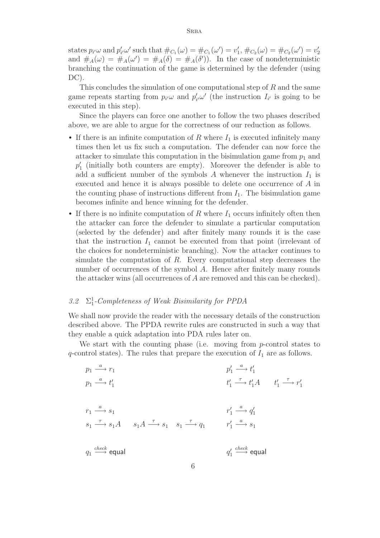states  $p_{i'}\omega$  and  $p'_{i'}\omega'$  such that  $\#_{C_1}(\omega) = \#_{C_1}(\omega') = v'_1, \#_{C_2}(\omega) = \#_{C_2}(\omega') = v'_2$ and  $\#_A(\omega) = \#_A(\omega') = \#_A(\delta) = \#_A(\delta')$ . In the case of nondeterministic branching the continuation of the game is determined by the defender (using DC).

This concludes the simulation of one computational step of R and the same game repeats starting from  $p_{i'}\omega$  and  $p'_{i'}\omega'$  (the instruction  $I_{i'}$  is going to be executed in this step).

Since the players can force one another to follow the two phases described above, we are able to argue for the correctness of our reduction as follows.

- If there is an infinite computation of R where  $I_1$  is executed infinitely many times then let us fix such a computation. The defender can now force the attacker to simulate this computation in the bisimulation game from  $p_1$  and  $p'_1$  (initially both counters are empty). Moreover the defender is able to add a sufficient number of the symbols A whenever the instruction  $I_1$  is executed and hence it is always possible to delete one occurrence of A in the counting phase of instructions different from  $I_1$ . The bisimulation game becomes infinite and hence winning for the defender.
- If there is no infinite computation of  $R$  where  $I_1$  occurs infinitely often then the attacker can force the defender to simulate a particular computation (selected by the defender) and after finitely many rounds it is the case that the instruction  $I_1$  cannot be executed from that point (irrelevant of the choices for nondeterministic branching). Now the attacker continues to simulate the computation of  $R$ . Every computational step decreases the number of occurrences of the symbol A. Hence after finitely many rounds the attacker wins (all occurrences of A are removed and this can be checked).

# 3.2  $\Sigma_1^1$ -Completeness of Weak Bisimilarity for PPDA

We shall now provide the reader with the necessary details of the construction described above. The PPDA rewrite rules are constructed in such a way that they enable a quick adaptation into PDA rules later on.

We start with the counting phase (i.e. moving from p-control states to  $q$ -control states). The rules that prepare the execution of  $I_1$  are as follows.

$$
p_1 \xrightarrow{a} r_1
$$
\n
$$
p_1 \xrightarrow{a} t'_1
$$
\n
$$
p_1 \xrightarrow{a} t'_1
$$
\n
$$
t'_1 \xrightarrow{\tau} t'_1 A
$$
\n
$$
t'_1 \xrightarrow{\tau} t'_1 A
$$
\n
$$
t'_1 \xrightarrow{\tau} t'_1 A
$$
\n
$$
t'_1 \xrightarrow{\tau} t'_1 A
$$
\n
$$
t'_1 \xrightarrow{\tau} t'_1 A
$$
\n
$$
t'_1 \xrightarrow{\tau} t'_1 A
$$
\n
$$
t'_1 \xrightarrow{\tau} t'_1 A
$$
\n
$$
t'_1 \xrightarrow{\tau} t'_1 A
$$
\n
$$
t'_1 \xrightarrow{\tau} t'_1 A
$$
\n
$$
t'_1 \xrightarrow{\tau} t'_1 A
$$
\n
$$
t'_1 \xrightarrow{\tau} t'_1 A
$$
\n
$$
t'_1 \xrightarrow{\tau} t'_1 A
$$
\n
$$
t'_1 \xrightarrow{\tau} t'_1 A
$$
\n
$$
t'_1 \xrightarrow{\tau} t'_1 A
$$
\n
$$
t'_1 \xrightarrow{\tau} t'_1 A
$$
\n
$$
t'_1 \xrightarrow{\tau} t'_1 A
$$
\n
$$
t'_1 \xrightarrow{\tau} t'_1 A
$$
\n
$$
t'_1 \xrightarrow{\tau} t'_1 A
$$
\n
$$
t'_1 \xrightarrow{\tau} t'_1 A
$$
\n
$$
t'_1 \xrightarrow{\tau} t'_1 A
$$
\n
$$
t'_1 \xrightarrow{\tau} t'_1 A
$$
\n
$$
t'_1 \xrightarrow{\tau} t'_1 A
$$
\n
$$
t'_1 \xrightarrow{\tau} t'_1 A
$$
\n
$$
t'_1 \xrightarrow{\tau} t'_1 A
$$
\n
$$
t'_1 \xrightarrow{\tau} t'_1 A
$$
\n
$$
t'_1 \xrightarrow{\tau} t'_1 A
$$
\n
$$
t'_1 \xrightarrow{\tau} t'_1 A
$$
\n
$$
t'_1 \xrightarrow{\tau} t'_1 A
$$
\n
$$
t'_1 \xrightarrow{\tau} t'_1 A
$$
\n
$$
t'_1 \xrightarrow{\tau} t'_1 A
$$
\n
$$
t'_1
$$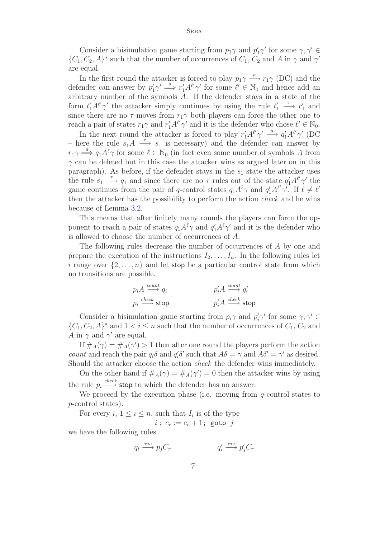Consider a bisimulation game starting from  $p_1\gamma$  and  $p'_1\gamma'$  for some  $\gamma, \gamma' \in$  $\{C_1, C_2, A\}^*$  such that the number of occurrences of  $C_1$ ,  $C_2$  and A in  $\gamma$  and  $\gamma'$ are equal.

In the first round the attacker is forced to play  $p_1 \gamma \xrightarrow{a} r_1 \gamma$  (DC) and the defender can answer by  $p'_1\gamma' \stackrel{a}{\implies} r'_1A^{\ell'}\gamma'$  for some  $\ell' \in \mathbb{N}_0$  and hence add an arbitrary number of the symbols A. If the defender stays in a state of the form  $t'_1 A^{\ell'} \gamma'$  the attacker simply continues by using the rule  $t'_1 \stackrel{\tau}{\longrightarrow} r'_1$  and since there are no  $\tau$ -moves from  $r_1\gamma$  both players can force the other one to reach a pair of states  $r_1\gamma$  and  $r'_1A^{\ell'}\gamma'$  and it is the defender who chose  $\ell' \in \mathbb{N}_0$ .

In the next round the attacker is forced to play  $r'_1 A^{\ell'} \gamma' \stackrel{a}{\longrightarrow} q'_1 A^{\ell'} \gamma'$  (DC – here the rule  $s_1A \stackrel{\tau}{\longrightarrow} s_1$  is necessary) and the defender can answer by  $r_1\gamma \stackrel{a}{\Longrightarrow} q_1A^{\ell}\gamma$  for some  $\ell \in \mathbb{N}_0$  (in fact even some number of symbols A from  $\gamma$  can be deleted but in this case the attacker wins as argued later on in this paragraph). As before, if the defender stays in the  $s_1$ -state the attacker uses the rule  $s_1 \stackrel{\tau}{\longrightarrow} q_1$  and since there are no  $\tau$  rules out of the state  $q_1'A^{\ell'}\gamma'$  the game continues from the pair of q-control states  $q_1 A^{\ell} \gamma$  and  $q_1' A^{\ell'} \gamma'$ . If  $\ell \neq \ell'$ then the attacker has the possibility to perform the action check and he wins because of Lemma 3.2.

This means that after finitely many rounds the players can force the opponent to reach a pair of states  $q_1 A^{\ell} \gamma$  and  $q_1' A^{\ell} \gamma'$  and it is the defender who is allowed to choos[e th](#page-4-0)e number of occurrences of A.

The following rules decrease the number of occurrences of A by one and prepare the execution of the instructions  $I_2, \ldots, I_n$ . In the following rules let i range over  $\{2,\ldots,n\}$  and let stop be a particular control state from which no transitions are possible.

$$
p_i A \xrightarrow{count} q_i
$$
\n
$$
p_i \xrightarrow{check} \text{stop}
$$
\n
$$
p'_i A \xrightarrow{count} q'_i
$$
\n
$$
p'_i A \xrightarrow{check} \text{stop}
$$

Consider a bisimulation game starting from  $p_i \gamma$  and  $p'_i \gamma'$  for some  $\gamma, \gamma' \in$  $\{C_1, C_2, A\}^*$  and  $1 < i \leq n$  such that the number of occurrences of  $C_1, C_2$  and A in  $\gamma$  and  $\gamma'$  are equal.

If  $\#_A(\gamma) = \#_A(\gamma') > 1$  then after one round the players perform the action *count* and reach the pair  $q_i \delta$  and  $q'_i \delta'$  such that  $A\delta = \gamma$  and  $A\delta' = \gamma'$  as desired. Should the attacker choose the action check the defender wins immediately.

On the other hand if  $\#_A(\gamma) = \#_A(\gamma') = 0$  then the attacker wins by using the rule  $p_i \stackrel{check}{\longrightarrow}$  stop to which the defender has no answer.

We proceed by the execution phase (i.e. moving from  $q$ -control states to p-control states).

For every  $i, 1 \leq i \leq n$ , such that  $I_i$  is of the type

 $i : c_r := c_r + 1;$  goto j

we have the following rules.

$$
q_i \xrightarrow{inc} p_j C_r \qquad \qquad q'_i \xrightarrow{inc} p'_j C_r
$$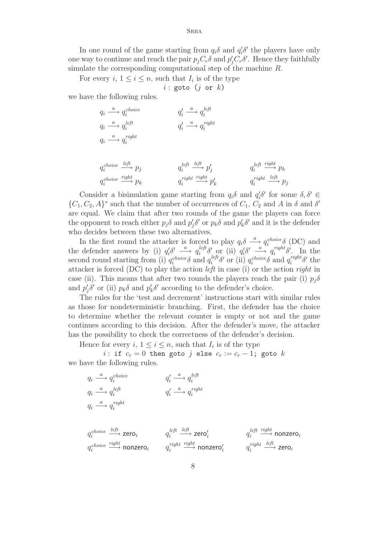In one round of the game starting from  $q_i\delta$  and  $q'_i\delta'$  the players have only one way to continue and reach the pair  $p_j C_r \delta$  and  $p'_j C_r \delta'$ . Hence they faithfully simulate the corresponding computational step of the machine R.

For every i,  $1 \leq i \leq n$ , such that  $I_i$  is of the type

 $i$ : goto ( $j$  or  $k$ )

we have the following rules.

| $q_i \stackrel{a}{\longrightarrow} q_i^{choice}$     | $q'_i \stackrel{a}{\longrightarrow} q_i^{left}$      |                                                    |
|------------------------------------------------------|------------------------------------------------------|----------------------------------------------------|
| $q_i \stackrel{a}{\longrightarrow} q_i^{left}$       | $q'_i \stackrel{a}{\longrightarrow} q_i^{right}$     |                                                    |
| $q_i \stackrel{a}{\longrightarrow} q_i^{right}$      |                                                      |                                                    |
|                                                      |                                                      |                                                    |
| $q_i^{choice} \xrightarrow{left} p_i$                | $q_i^{left} \stackrel{left}{\longrightarrow} p'_i$   | $q_i^{left} \stackrel{right}{\longrightarrow} p_k$ |
| $q_i^{choice} \stackrel{right}{\longrightarrow} p_k$ | $q_i^{right} \stackrel{right}{\longrightarrow} p'_k$ | $q_i^{right} \xrightarrow{left} p_j$               |

Consider a bisimulation game starting from  $q_i\delta$  and  $q'_i\delta'$  for some  $\delta, \delta' \in$  $\{C_1, C_2, A\}^*$  such that the number of occurrences of  $C_1$ ,  $C_2$  and A in  $\delta$  and  $\delta'$ are equal. We claim that after two rounds of the game the players can force the opponent to reach either  $p_j \delta$  and  $p'_j \delta'$  or  $p_k \delta$  and  $p'_k \delta'$  and it is the defender who decides between these two alternatives.

In the first round the attacker is forced to play  $q_i\delta \stackrel{a}{\longrightarrow} q_i^{choice}(\delta)$  (DC) and the defender answers by (i)  $q_i^{\prime}\delta' \longrightarrow q_i^{left}\delta'$  or (ii)  $q_i^{\prime}\delta' \longrightarrow q_i^{right}\delta'$ . In the second round starting from (i)  $q_i^{choice} \delta$  and  $q_i^{left} \delta'$  or (ii)  $q_i^{choice} \delta$  and  $q_i^{right} \delta'$  the attacker is forced (DC) to play the action left in case (i) or the action right in case (ii). This means that after two rounds the players reach the pair (i)  $p_i\delta$ and  $p'_j \delta'$  or (ii)  $p_k \delta$  and  $p'_k \delta'$  according to the defender's choice.

The rules for the 'test and decrement' instructions start with similar rules as those for nondeterministic branching. First, the defender has the choice to determine whether the relevant counter is empty or not and the game continues according to this decision. After the defender's move, the attacker has the possibility to check the correctness of the defender's decision.

Hence for every i,  $1 \leq i \leq n$ , such that  $I_i$  is of the type

i: if  $c_r = 0$  then goto j else  $c_r := c_r - 1$ ; goto k we have the following rules.

$$
\begin{array}{llll}\n q_i \stackrel{a}{\longrightarrow} q_i^{choice} & q_i' \stackrel{a}{\longrightarrow} q_i^{left} \\
 q_i \stackrel{a}{\longrightarrow} q_i^{left} & q_i' \stackrel{a}{\longrightarrow} q_i^{right} \\
 q_i \stackrel{a}{\longrightarrow} q_i^{right} & \\
 q_i^{choice} \stackrel{left}{\longrightarrow} zero_i & q_i^{left} \stackrel{left}{\longrightarrow} zero_i' & q_i^{left} \stackrel{right}{\longrightarrow} nonzero_i \\
 q_i^{choice} \stackrel{right}{\longrightarrow} nonzero_i & q_i^{right} \stackrel{right}{\longrightarrow} nonzero_i\n\end{array}
$$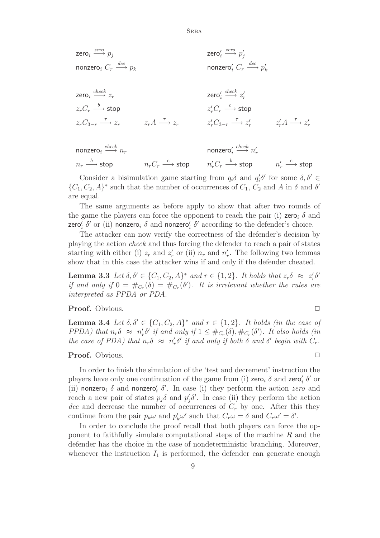**SRBA** 

 $\mathsf{zero}_i \xrightarrow{zero} p_j$  zero $'_i$ i  $\xrightarrow{zero} p'_j$ nonzero $_i$   $C_r$   $\stackrel{dec}{-}$  $\stackrel{dec}{\longrightarrow} p_k$  nonzero $_i'$   $C_r \stackrel{dec}{\longrightarrow} p_k'$ 

$$
\begin{array}{lll}\n\mathsf{zero}_{i} & \xrightarrow{check} z_{r} & \mathsf{zero}_{i}^{\prime} \xrightarrow{check} z_{r}^{\prime} \\
z_{r}C_{r} \xrightarrow{b} \mathsf{stop} & z_{r}^{\prime}C_{r} \xrightarrow{c} \mathsf{stop} \\
z_{r}C_{3-r} \xrightarrow{\tau} z_{r} & z_{r}A \xrightarrow{\tau} z_{r} & z_{r}^{\prime}C_{3-r} \xrightarrow{\tau} z_{r}^{\prime} & z_{r}^{\prime}A \xrightarrow{\tau} z_{r}^{\prime}\n\end{array}
$$

nonzero $_i \stackrel{check}{\longrightarrow}$  $\overrightarrow{m_r}$  nonzero $\frac{1}{i}$  $\stackrel{check}{\longrightarrow} n'_r$  $n_r \stackrel{b}{\longrightarrow}$  stop  $n_rC_r$  $\stackrel{c}{\longrightarrow}$  stop  $n'_r C_r \stackrel{b}{\longrightarrow}$  stop  $n'_r \stackrel{c}{\longrightarrow}$  stop

Consider a bisimulation game starting from  $q_i\delta$  and  $q'_i\delta'$  for some  $\delta, \delta' \in$  $\{C_1, C_2, A\}^*$  such that the number of occurrences of  $C_1$ ,  $C_2$  and A in  $\delta$  and  $\delta'$ are equal.

The same arguments as before apply to show that after two rounds of the game the players can force the opponent to reach the pair (i) zero<sub>i</sub>  $\delta$  and zero $'_i$   $\delta'$  or (ii) nonzero $_i$   $\delta$  and nonzero $'_i$   $\delta'$  according to the defender's choice.

The attacker can now verify the correctness of the defender's decision by playing the action check and thus forcing the defender to reach a pair of states starting with either (i)  $z_r$  and  $z'_r$  or (ii)  $n_r$  and  $n'_r$ . The following two lemmas show that in this case the attacker wins if and only if the defender cheated.

**Lemma 3.3** Let  $\delta, \delta' \in \{C_1, C_2, A\}^*$  and  $r \in \{1, 2\}$ . It holds that  $z_r \delta \approx z'_r \delta'$ if and only if  $0 = #_{C_r}(\delta) = #_{C_r}(\delta')$ . It is irrelevant whether the rules are interpreted as PPDA or PDA.

<span id="page-8-0"></span>**Proof.** Obvious. <u>□</u>

**Lemma 3.4** Let  $\delta, \delta' \in \{C_1, C_2, A\}^*$  and  $r \in \{1, 2\}$ . It holds (in the case of PPDA) that  $n_r \delta \approx n'_r \delta'$  if and only if  $1 \leq \#_{C_r}(\delta), \#_{C_r}(\delta')$ . It also holds (in the case of PDA) that  $n_r \delta \approx n'_r \delta'$  if and only if both  $\delta$  and  $\delta'$  begin with  $C_r$ .

#### **Proof.** Obvious. <u>□</u>

In order to finish the simulation of the 'test and decrement' instruction the players have only one continuation of the game from (i)  $\mathsf{zero}_i$   $\delta$  and  $\mathsf{zero}_i'$   $\delta'$  or (ii) nonzero<sub>i</sub>  $\delta$  and nonzero'<sub>i</sub>  $\delta'$ . In case (i) they perform the action zero and reach a new pair of states  $p_j \delta$  and  $p'_j \delta'$ . In case (ii) they perform the action dec and decrease the number of occurrences of  $C_r$  by one. After this they continue from the pair  $p_k \omega$  and  $p'_k \omega'$  such that  $C_r \omega = \delta$  and  $C_r \omega' = \delta'$ .

In order to conclude the proof recall that both players can force the opponent to faithfully simulate computational steps of the machine  $R$  and the defender has the choice in the case of nondeterministic branching. Moreover, whenever the instruction  $I_1$  is performed, the defender can generate enough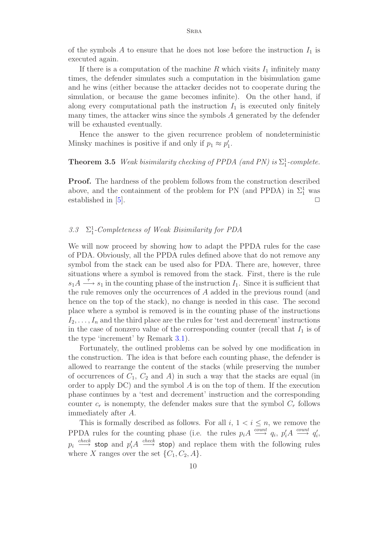of the symbols A to ensure that he does not lose before the instruction  $I_1$  is executed again.

If there is a computation of the machine R which visits  $I_1$  infinitely many times, the defender simulates such a computation in the bisimulation game and he wins (either because the attacker decides not to cooperate during the simulation, or because the game becomes infinite). On the other hand, if along every computational path the instruction  $I_1$  is executed only finitely many times, the attacker wins since the symbols A generated by the defender will be exhausted eventually.

Hence the answer to the given recurrence problem of nondeterministic Minsky machines is positive if and only if  $p_1 \approx p'_1$ .

# **Theorem 3.5** Weak bisimilarity checking of PPDA (and PN) is  $\Sigma_1^1$ -complete.

**Proof.** The hardness of the problem follows from the construction described above, and the containment of the problem for PN (and PPDA) in  $\Sigma_1^1$  was established in  $[5]$ .

# 3.3  $\Sigma_1^1$ -Comp[let](#page-12-4)eness of Weak Bisimilarity for PDA

We will now proceed by showing how to adapt the PPDA rules for the case of PDA. Obviously, all the PPDA rules defined above that do not remove any symbol from the stack can be used also for PDA. There are, however, three situations where a symbol is removed from the stack. First, there is the rule  $s_1A \stackrel{\tau}{\longrightarrow} s_1$  in the counting phase of the instruction  $I_1$ . Since it is sufficient that the rule removes only the occurrences of A added in the previous round (and hence on the top of the stack), no change is needed in this case. The second place where a symbol is removed is in the counting phase of the instructions  $I_2,\ldots,I_n$  and the third place are the rules for 'test and decrement' instructions in the case of nonzero value of the corresponding counter (recall that  $I_1$  is of the type 'increment' by Remark 3.1).

Fortunately, the outlined problems can be solved by one modification in the construction. The idea is that before each counting phase, the defender is allowed to rearrange the conten[t of](#page-3-0) the stacks (while preserving the number of occurrences of  $C_1$ ,  $C_2$  and  $A$ ) in such a way that the stacks are equal (in order to apply  $DC$ ) and the symbol  $A$  is on the top of them. If the execution phase continues by a 'test and decrement' instruction and the corresponding counter  $c_r$  is nonempty, the defender makes sure that the symbol  $C_r$  follows immediately after A.

This is formally described as follows. For all  $i, 1 \le i \le n$ , we remove the PPDA rules for the counting phase (i.e. the rules  $p_i A \stackrel{count}{\longrightarrow} q_i$ ,  $p'_i A \stackrel{count}{\longrightarrow} q'_i$ ,  $p_i \stackrel{check}{\longrightarrow}$  stop and  $p'_iA \stackrel{check}{\longrightarrow}$  stop) and replace them with the following rules where X ranges over the set  $\{C_1, C_2, A\}$ .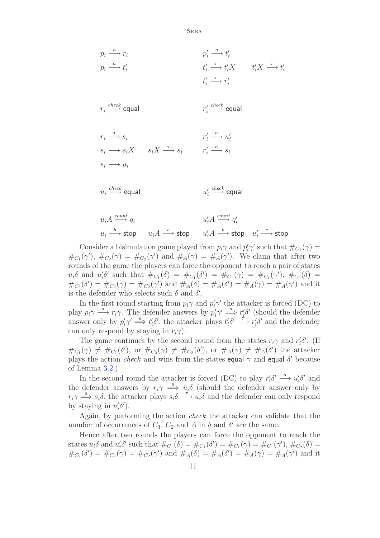$$
p_i \xrightarrow{a} r_i
$$
\n
$$
p_i \xrightarrow{a} t'_i
$$
\n
$$
p_i \xrightarrow{a} t'_i
$$
\n
$$
t'_i \xrightarrow{f} t'_i X
$$
\n
$$
t'_i \xrightarrow{f} t'_i X
$$
\n
$$
t'_i \xrightarrow{f} t'_i X
$$
\n
$$
t'_i \xrightarrow{f} t'_i X
$$
\n
$$
t'_i \xrightarrow{f} t'_i X
$$
\n
$$
t'_i \xrightarrow{f} t'_i X
$$
\n
$$
t'_i \xrightarrow{f} t'_i X
$$
\n
$$
t'_i \xrightarrow{f} t'_i X
$$
\n
$$
t'_i \xrightarrow{f} t'_i X
$$
\n
$$
t'_i \xrightarrow{f} t'_i X
$$
\n
$$
t'_i \xrightarrow{f} t'_i X
$$
\n
$$
t'_i \xrightarrow{f} t'_i X
$$
\n
$$
t'_i \xrightarrow{f} t'_i X
$$
\n
$$
t'_i \xrightarrow{f} t'_i X
$$
\n
$$
t'_i \xrightarrow{f} t'_i X
$$
\n
$$
t'_i \xrightarrow{f} t'_i X
$$
\n
$$
t'_i X \xrightarrow{f} t'_i X
$$
\n
$$
t'_i X \xrightarrow{f} t'_i X
$$
\n
$$
t'_i X \xrightarrow{f} t'_i X
$$
\n
$$
t'_i X \xrightarrow{f} t'_i X
$$
\n
$$
t'_i X \xrightarrow{f} t'_i X
$$
\n
$$
t'_i X \xrightarrow{f} t'_i X
$$
\n
$$
t'_i X \xrightarrow{f} t'_i X
$$
\n
$$
t'_i X \xrightarrow{f} t'_i X
$$
\n
$$
t'_i X \xrightarrow{f} t'_i X
$$
\n
$$
t'_i X \xrightarrow{f} t'_i X
$$
\n
$$
t'_i X \xrightarrow{f} t'_i X
$$
\n
$$
t'_i X \xrightarrow{f} t'_i X
$$
\n
$$
t'_i X \xrightarrow{f} t'_i X
$$
\n
$$
t'_i X \xrightarrow{f} t'_i X
$$
\

$$
u_i A \xrightarrow{count} q_i
$$
  
\n
$$
u_i \xrightarrow{b} \text{stop} \qquad u_i A \xrightarrow{c} \text{stop} \qquad u_i' A \xrightarrow{b} \text{stop} \qquad u_i' \xrightarrow{c} \text{stop}
$$

Consider a bisimulation game played from  $p_i \gamma$  and  $p'_i \gamma'$  such that  $\#_{C_1}(\gamma) =$  $\#_{C_1}(\gamma'), \#_{C_2}(\gamma) = \#_{C_2}(\gamma')$  and  $\#_A(\gamma) = \#_A(\gamma')$ . We claim that after two rounds of the game the players can force the opponent to reach a pair of states  $u_i\delta$  and  $u'_i\delta'$  such that  $\#_{C_1}(\delta) = \#_{C_1}(\delta') = \#_{C_1}(\gamma) = \#_{C_1}(\gamma'), \#_{C_2}(\delta) =$  $\#_{C_2}(\delta') = \#_{C_2}(\gamma) = \#_{C_2}(\gamma')$  and  $\#_A(\delta) = \#_A(\delta') = \#_A(\gamma) = \#_A(\gamma')$  and it is the defender who selects such  $\delta$  and  $\delta'$ .

In the first round starting from  $p_i \gamma$  and  $p'_i \gamma'$  the attacker is forced (DC) to play  $p_i \gamma \stackrel{a}{\longrightarrow} r_i \gamma$ . The defender answers by  $p'_i \gamma' \stackrel{a}{\Longrightarrow} r'_i \delta'$  (should the defender answer only by  $p'_i \gamma' \stackrel{a}{\Longrightarrow} t'_i \delta'$ , the attacker plays  $t'_i \delta' \stackrel{\tau}{\longrightarrow} r'_i \delta'$  and the defender can only respond by staying in  $r_i\gamma$ ).

The game continues by the second round from the states  $r_i\gamma$  and  $r'_i\delta'$ . (If  $\#_{C_1}(\gamma) \neq \#_{C_1}(\delta')$ , or  $\#_{C_2}(\gamma) \neq \#_{C_2}(\delta')$ , or  $\#_A(\gamma) \neq \#_A(\delta')$  the attacker plays the action *check* and wins from the states equal  $\gamma$  and equal  $\delta'$  because of Lemma 3.2.)

In the second round the attacker is forced (DC) to play  $r_i' \delta' \stackrel{a}{\longrightarrow} u_i' \delta'$  and the defender answers by  $r_i\gamma \stackrel{a}{\implies} u_i\delta$  (should the defender answer only by  $r_i \gamma \stackrel{a}{\Longrightarrow} s_i \delta$ [, th](#page-4-0)e attacker plays  $s_i \delta \stackrel{\tau}{\Longrightarrow} u_i \delta$  and the defender can only respond by staying in  $u'_i \delta'$ ).

Again, by performing the action check the attacker can validate that the number of occurrences of  $C_1$ ,  $C_2$  and A in  $\delta$  and  $\delta'$  are the same.

Hence after two rounds the players can force the opponent to reach the states  $u_i \delta$  and  $u'_i \delta'$  such that  $\#_{C_1}(\delta) = \#_{C_1}(\delta') = \#_{C_1}(\gamma) = \#_{C_1}(\gamma')$ ,  $\#_{C_2}(\delta) =$  $\#_{C_2}(\delta') = \#_{C_2}(\gamma) = \#_{C_2}(\gamma')$  and  $\#_A(\delta) = \#_A(\delta') = \#_A(\gamma) = \#_A(\gamma')$  and it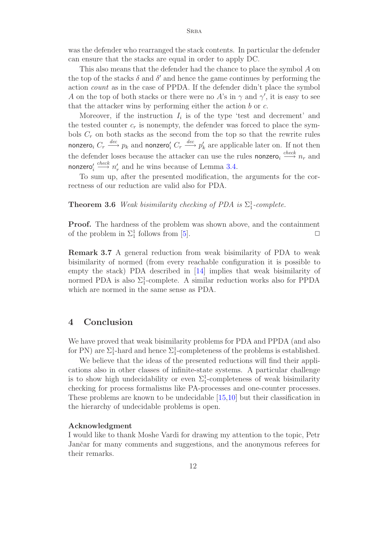was the defender who rearranged the stack contents. In particular the defender can ensure that the stacks are equal in order to apply DC.

This also means that the defender had the chance to place the symbol A on the top of the stacks  $\delta$  and  $\delta'$  and hence the game continues by performing the action count as in the case of PPDA. If the defender didn't place the symbol A on the top of both stacks or there were no A's in  $\gamma$  and  $\gamma'$ , it is easy to see that the attacker wins by performing either the action  $b$  or  $c$ .

Moreover, if the instruction  $I_i$  is of the type 'test and decrement' and the tested counter  $c_r$  is nonempty, the defender was forced to place the symbols  $C_r$  on both stacks as the second from the top so that the rewrite rules nonzero,  $C_r \stackrel{dec}{\longrightarrow} p_k$  and nonzero',  $C_r \stackrel{dec}{\longrightarrow} p'_k$  are applicable later on. If not then the defender loses because the attacker can use the rules nonzero,  $\stackrel{check}{\longrightarrow} n_r$  and nonzero $_i^\prime$  $\stackrel{check}{\longrightarrow} n'_r$  and he wins because of Lemma 3.4.

To sum up, after the presented modification, the arguments for the correctness of our reduction are valid also for PDA.

**Theorem 3.6** Weak bisimilarity checking of P[DA](#page-8-0) is  $\Sigma_1^1$ -complete.

**Proof.** The hardness of the problem was shown above, and the containment of the problem in  $\Sigma_1^1$  follows from [5].

**Remark 3.7** A general reduction from weak bisimilarity of PDA to weak bisimilarity of normed (from ever[y](#page-12-4) reachable configuration it is possible to empty the stack) PDA described in [14] implies that weak bisimilarity of normed PDA is also  $\Sigma_1^1$ -complete. A similar reduction works also for PPDA which are normed in the same sense as PDA.

### **4 Conclusion**

We have proved that weak bisimilarity problems for PDA and PPDA (and also for PN) are  $\Sigma_1^1$ -hard and hence  $\Sigma_1^1$ -completeness of the problems is established.

We believe that the ideas of the presented reductions will find their applications also in other classes of infinite-state systems. A particular challenge is to show high undecidability or even  $\Sigma_1^1$ -completeness of weak bisimilarity checking for process formalisms like PA-processes and one-counter processes. These problems are known to be undecidable [15,10] but their classification in the hierarchy of undecidable problems is open.

#### **Acknowledgment**

I would like to thank Moshe Vardi for drawin[g](#page-13-2) [m](#page-13-2)[y](#page-12-10) [at](#page-12-10)tention to the topic, Petr Jančar for many comments and suggestions, and the anonymous referees for their remarks.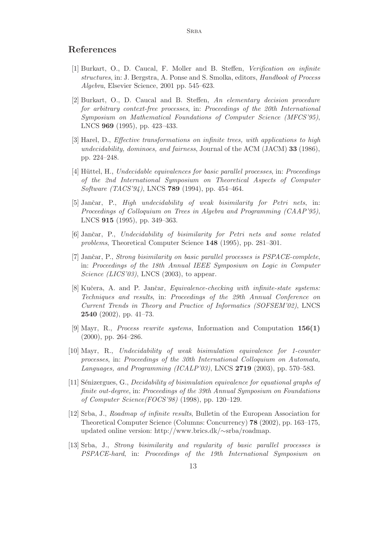### <span id="page-12-0"></span>**References**

- [1] Burkart, O., D. Caucal, F. Moller and B. Steffen, Verification on infinite structures, in: J. Bergstra, A. Ponse and S. Smolka, editors, Handbook of Process Algebra, Elsevier Science, 2001 pp. 545–623.
- <span id="page-12-9"></span>[2] Burkart, O., D. Caucal and B. Steffen, An elementary decision procedure for arbitrary context-free processes, in: Proceedings of the 20th International Symposium on Mathematical Foundations of Computer Science (MFCS'95), LNCS **969** (1995), pp. 423–433.
- [3] Harel, D., Effective transformations on infinite trees, with applications to high undecidability, dominoes, and fairness, Journal of the ACM (JACM) **33** (1986), pp. 224–248.
- <span id="page-12-8"></span>[4] Hüttel, H., Undecidable equivalences for basic parallel processes, in: Proceedings of the 2nd International Symposium on Theoretical Aspects of Computer Software (TACS'94), LNCS **789** (1994), pp. 454–464.
- <span id="page-12-4"></span>[5] Jančar, P., High undecidability of weak bisimilarity for Petri nets, in: Proceedings of Colloquium on Trees in Algebra and Programming (CAAP'95), LNCS **915** (1995), pp. 349–363.
- <span id="page-12-3"></span>[6] Janˇcar, P., Undecidability of bisimilarity for Petri nets and some related problems, Theoretical Computer Science **148** (1995), pp. 281–301.
- <span id="page-12-6"></span>[7] Jančar, P., Strong bisimilarity on basic parallel processes is PSPACE-complete, in: Proceedings of the 18th Annual IEEE Symposium on Logic in Computer Science (LICS'03), LNCS (2003), to appear.
- <span id="page-12-1"></span>[8] Kučera, A. and P. Jančar, *Equivalence-checking with infinite-state systems:* Techniques and results, in: Proceedings of the 29th Annual Conference on Current Trends in Theory and Practice of Informatics (SOFSEM'02), LNCS **2540** (2002), pp. 41–73.
- <span id="page-12-5"></span>[9] Mayr, R., Process rewrite systems, Information and Computation **156(1)** (2000), pp. 264–286.
- <span id="page-12-10"></span>[10] Mayr, R., Undecidability of weak bisimulation equivalence for 1-counter processes, in: Proceedings of the 30th International Colloquium on Automata, Languages, and Programming (ICALP'03), LNCS **2719** (2003), pp. 570–583.
- [11] Sénizergues, G., Decidability of bisimulation equivalence for equational graphs of finite out-degree, in: Proceedings of the 39th Annual Symposium on Foundations of Computer Science(FOCS'98) (1998), pp. 120–129.
- <span id="page-12-2"></span>[12] Srba, J., Roadmap of infinite results, Bulletin of the European Association for Theoretical Computer Science (Columns: Concurrency) **78** (2002), pp. 163–175, updated online version: http://www.brics.dk/∼srba/roadmap.
- <span id="page-12-7"></span>[13] Srba, J., Strong bisimilarity and regularity of basic parallel processes is PSPACE-hard, in: Proceedings of the 19th International Symposium on